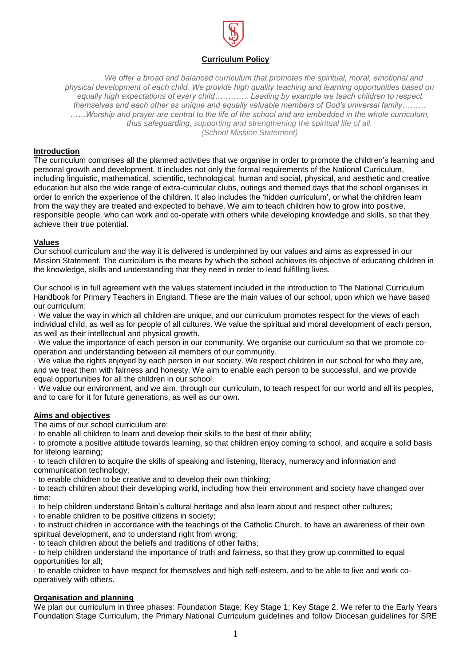

# **Curriculum Policy**

*We offer a broad and balanced curriculum that promotes the spiritual, moral, emotional and physical development of each child. We provide high quality teaching and learning opportunities based on equally high expectations of every child…………. Leading by example we teach children to respect themselves and each other as unique and equally valuable members of God's universal family……… ……Worship and prayer are central to the life of the school and are embedded in the whole curriculum, thus safeguarding, supporting and strengthening the spiritual life of all. (School Mission Statement)*

### **Introduction**

The curriculum comprises all the planned activities that we organise in order to promote the children's learning and personal growth and development. It includes not only the formal requirements of the National Curriculum, including linguistic, mathematical, scientific, technological, human and social, physical, and aesthetic and creative education but also the wide range of extra-curricular clubs, outings and themed days that the school organises in order to enrich the experience of the children. It also includes the 'hidden curriculum', or what the children learn from the way they are treated and expected to behave. We aim to teach children how to grow into positive, responsible people, who can work and co-operate with others while developing knowledge and skills, so that they achieve their true potential.

#### **Values**

Our school curriculum and the way it is delivered is underpinned by our values and aims as expressed in our Mission Statement. The curriculum is the means by which the school achieves its objective of educating children in the knowledge, skills and understanding that they need in order to lead fulfilling lives.

Our school is in full agreement with the values statement included in the introduction to The National Curriculum Handbook for Primary Teachers in England. These are the main values of our school, upon which we have based our curriculum:

· We value the way in which all children are unique, and our curriculum promotes respect for the views of each individual child, as well as for people of all cultures. We value the spiritual and moral development of each person, as well as their intellectual and physical growth.

· We value the importance of each person in our community. We organise our curriculum so that we promote cooperation and understanding between all members of our community.

· We value the rights enjoyed by each person in our society. We respect children in our school for who they are, and we treat them with fairness and honesty. We aim to enable each person to be successful, and we provide equal opportunities for all the children in our school.

· We value our environment, and we aim, through our curriculum, to teach respect for our world and all its peoples, and to care for it for future generations, as well as our own.

#### **Aims and objectives**

The aims of our school curriculum are:

· to enable all children to learn and develop their skills to the best of their ability;

· to promote a positive attitude towards learning, so that children enjoy coming to school, and acquire a solid basis for lifelong learning;

· to teach children to acquire the skills of speaking and listening, literacy, numeracy and information and communication technology;

· to enable children to be creative and to develop their own thinking;

· to teach children about their developing world, including how their environment and society have changed over time;

· to help children understand Britain's cultural heritage and also learn about and respect other cultures;

· to enable children to be positive citizens in society;

· to instruct children in accordance with the teachings of the Catholic Church, to have an awareness of their own spiritual development, and to understand right from wrong:

· to teach children about the beliefs and traditions of other faiths;

· to help children understand the importance of truth and fairness, so that they grow up committed to equal opportunities for all;

· to enable children to have respect for themselves and high self-esteem, and to be able to live and work cooperatively with others.

#### **Organisation and planning**

We plan our curriculum in three phases: Foundation Stage; Key Stage 1; Key Stage 2. We refer to the Early Years Foundation Stage Curriculum, the Primary National Curriculum guidelines and follow Diocesan guidelines for SRE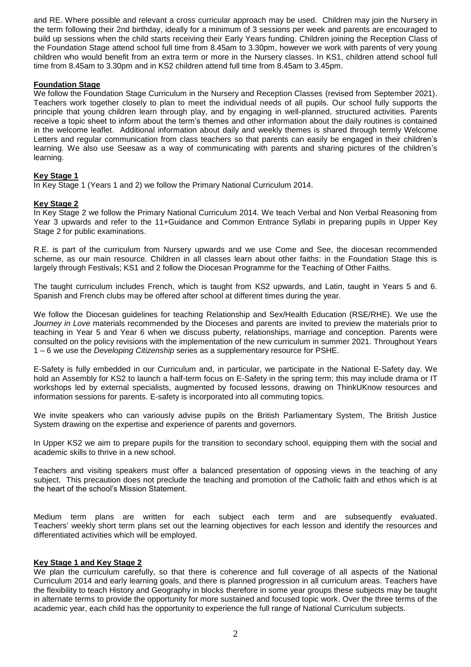and RE. Where possible and relevant a cross curricular approach may be used. Children may join the Nursery in the term following their 2nd birthday, ideally for a minimum of 3 sessions per week and parents are encouraged to build up sessions when the child starts receiving their Early Years funding. Children joining the Reception Class of the Foundation Stage attend school full time from 8.45am to 3.30pm, however we work with parents of very young children who would benefit from an extra term or more in the Nursery classes. In KS1, children attend school full time from 8.45am to 3.30pm and in KS2 children attend full time from 8.45am to 3.45pm.

### **Foundation Stage**

We follow the Foundation Stage Curriculum in the Nursery and Reception Classes (revised from September 2021). Teachers work together closely to plan to meet the individual needs of all pupils. Our school fully supports the principle that young children learn through play, and by engaging in well-planned, structured activities. Parents receive a topic sheet to inform about the term's themes and other information about the daily routines is contained in the welcome leaflet. Additional information about daily and weekly themes is shared through termly Welcome Letters and regular communication from class teachers so that parents can easily be engaged in their children's learning. We also use Seesaw as a way of communicating with parents and sharing pictures of the children's learning.

# **Key Stage 1**

In Key Stage 1 (Years 1 and 2) we follow the Primary National Curriculum 2014.

## **Key Stage 2**

In Key Stage 2 we follow the Primary National Curriculum 2014. We teach Verbal and Non Verbal Reasoning from Year 3 upwards and refer to the 11+Guidance and Common Entrance Syllabi in preparing pupils in Upper Key Stage 2 for public examinations.

R.E. is part of the curriculum from Nursery upwards and we use Come and See, the diocesan recommended scheme, as our main resource. Children in all classes learn about other faiths: in the Foundation Stage this is largely through Festivals; KS1 and 2 follow the Diocesan Programme for the Teaching of Other Faiths.

The taught curriculum includes French, which is taught from KS2 upwards, and Latin, taught in Years 5 and 6. Spanish and French clubs may be offered after school at different times during the year.

We follow the Diocesan guidelines for teaching Relationship and Sex/Health Education (RSE/RHE). We use the *Journey in Love* materials recommended by the Dioceses and parents are invited to preview the materials prior to teaching in Year 5 and Year 6 when we discuss puberty, relationships, marriage and conception. Parents were consulted on the policy revisions with the implementation of the new curriculum in summer 2021. Throughout Years 1 – 6 we use the *Developing Citizenship* series as a supplementary resource for PSHE.

E-Safety is fully embedded in our Curriculum and, in particular, we participate in the National E-Safety day. We hold an Assembly for KS2 to launch a half-term focus on E-Safety in the spring term; this may include drama or IT workshops led by external specialists, augmented by focused lessons, drawing on ThinkUKnow resources and information sessions for parents. E-safety is incorporated into all commuting topics.

We invite speakers who can variously advise pupils on the British Parliamentary System, The British Justice System drawing on the expertise and experience of parents and governors.

In Upper KS2 we aim to prepare pupils for the transition to secondary school, equipping them with the social and academic skills to thrive in a new school.

Teachers and visiting speakers must offer a balanced presentation of opposing views in the teaching of any subject. This precaution does not preclude the teaching and promotion of the Catholic faith and ethos which is at the heart of the school's Mission Statement.

Medium term plans are written for each subject each term and are subsequently evaluated. Teachers' weekly short term plans set out the learning objectives for each lesson and identify the resources and differentiated activities which will be employed.

## **Key Stage 1 and Key Stage 2**

We plan the curriculum carefully, so that there is coherence and full coverage of all aspects of the National Curriculum 2014 and early learning goals, and there is planned progression in all curriculum areas. Teachers have the flexibility to teach History and Geography in blocks therefore in some year groups these subjects may be taught in alternate terms to provide the opportunity for more sustained and focused topic work. Over the three terms of the academic year, each child has the opportunity to experience the full range of National Curriculum subjects.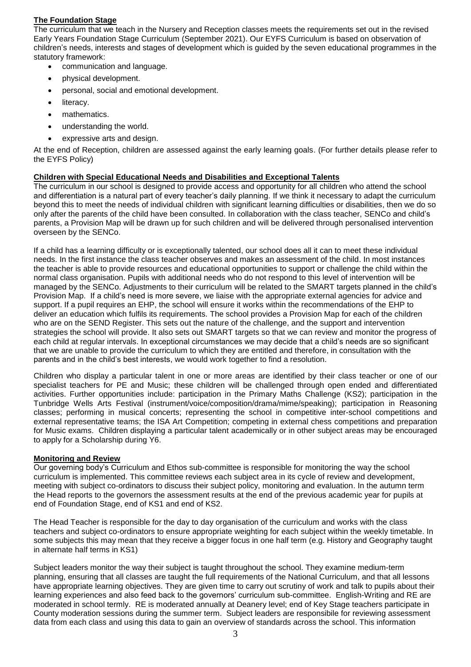## **The Foundation Stage**

The curriculum that we teach in the Nursery and Reception classes meets the requirements set out in the revised Early Years Foundation Stage Curriculum (September 2021). Our EYFS Curriculum is based on observation of children's needs, interests and stages of development which is guided by the seven educational programmes in the statutory framework:

- communication and language.
- physical development.
- personal, social and emotional development.
- literacy.
- mathematics.
- understanding the world.
- expressive arts and design.

At the end of Reception, children are assessed against the early learning goals. (For further details please refer to the EYFS Policy)

## **Children with Special Educational Needs and Disabilities and Exceptional Talents**

The curriculum in our school is designed to provide access and opportunity for all children who attend the school and differentiation is a natural part of every teacher's daily planning. If we think it necessary to adapt the curriculum beyond this to meet the needs of individual children with significant learning difficulties or disabilities, then we do so only after the parents of the child have been consulted. In collaboration with the class teacher, SENCo and child's parents, a Provision Map will be drawn up for such children and will be delivered through personalised intervention overseen by the SENCo.

If a child has a learning difficulty or is exceptionally talented, our school does all it can to meet these individual needs. In the first instance the class teacher observes and makes an assessment of the child. In most instances the teacher is able to provide resources and educational opportunities to support or challenge the child within the normal class organisation. Pupils with additional needs who do not respond to this level of intervention will be managed by the SENCo. Adjustments to their curriculum will be related to the SMART targets planned in the child's Provision Map. If a child's need is more severe, we liaise with the appropriate external agencies for advice and support. If a pupil requires an EHP, the school will ensure it works within the recommendations of the EHP to deliver an education which fulfils its requirements. The school provides a Provision Map for each of the children who are on the SEND Register. This sets out the nature of the challenge, and the support and intervention strategies the school will provide. It also sets out SMART targets so that we can review and monitor the progress of each child at regular intervals. In exceptional circumstances we may decide that a child's needs are so significant that we are unable to provide the curriculum to which they are entitled and therefore, in consultation with the parents and in the child's best interests, we would work together to find a resolution.

Children who display a particular talent in one or more areas are identified by their class teacher or one of our specialist teachers for PE and Music; these children will be challenged through open ended and differentiated activities. Further opportunities include: participation in the Primary Maths Challenge (KS2); participation in the Tunbridge Wells Arts Festival (instrument/voice/composition/drama/mime/speaking); participation in Reasoning classes; performing in musical concerts; representing the school in competitive inter-school competitions and external representative teams; the ISA Art Competition; competing in external chess competitions and preparation for Music exams. Children displaying a particular talent academically or in other subject areas may be encouraged to apply for a Scholarship during Y6.

## **Monitoring and Review**

Our governing body's Curriculum and Ethos sub-committee is responsible for monitoring the way the school curriculum is implemented. This committee reviews each subject area in its cycle of review and development, meeting with subject co-ordinators to discuss their subject policy, monitoring and evaluation. In the autumn term the Head reports to the governors the assessment results at the end of the previous academic year for pupils at end of Foundation Stage, end of KS1 and end of KS2.

The Head Teacher is responsible for the day to day organisation of the curriculum and works with the class teachers and subject co-ordinators to ensure appropriate weighting for each subject within the weekly timetable. In some subjects this may mean that they receive a bigger focus in one half term (e.g. History and Geography taught in alternate half terms in KS1)

Subject leaders monitor the way their subject is taught throughout the school. They examine medium-term planning, ensuring that all classes are taught the full requirements of the National Curriculum, and that all lessons have appropriate learning objectives. They are given time to carry out scrutiny of work and talk to pupils about their learning experiences and also feed back to the governors' curriculum sub-committee. English-Writing and RE are moderated in school termly. RE is moderated annually at Deanery level; end of Key Stage teachers participate in County moderation sessions during the summer term. Subject leaders are responsibile for reviewing assessment data from each class and using this data to gain an overview of standards across the school. This information